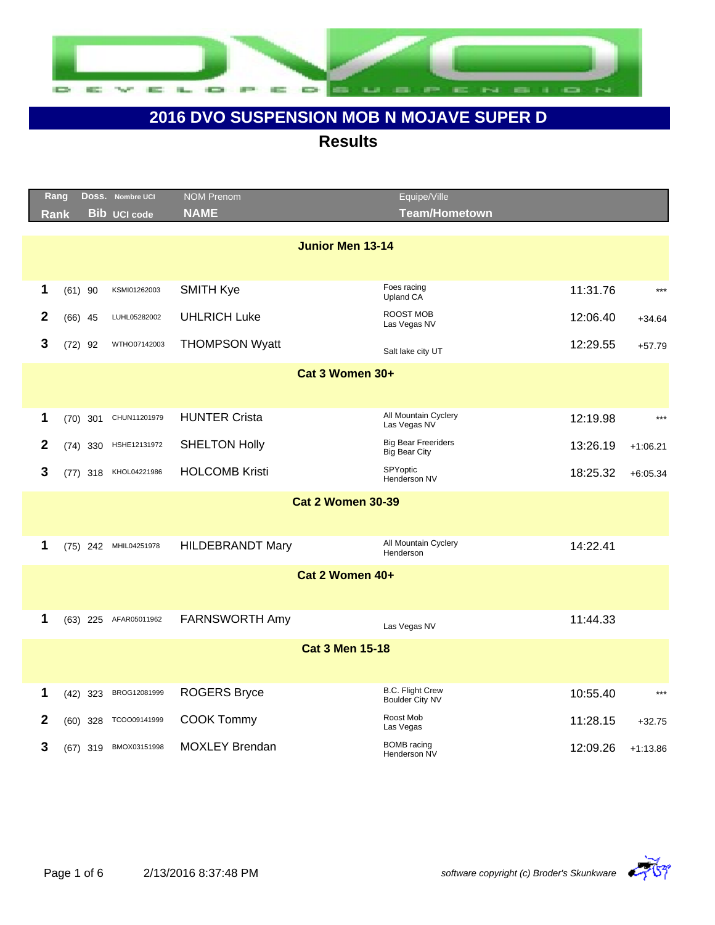

|              | Rang        | Doss.      | <b>Nombre UCI</b>     | <b>NOM Prenom</b>        | Equipe/Ville                                       |          |            |
|--------------|-------------|------------|-----------------------|--------------------------|----------------------------------------------------|----------|------------|
|              | <b>Rank</b> |            | <b>Bib UCI code</b>   | <b>NAME</b>              | <b>Team/Hometown</b>                               |          |            |
|              |             |            |                       | <b>Junior Men 13-14</b>  |                                                    |          |            |
|              |             |            |                       |                          |                                                    |          |            |
| 1            |             | $(61)$ 90  | KSMI01262003          | <b>SMITH Kye</b>         | Foes racing<br>Upland CA                           | 11:31.76 | $***$      |
| $\mathbf{2}$ |             | $(66)$ 45  | LUHL05282002          | <b>UHLRICH Luke</b>      | <b>ROOST MOB</b><br>Las Vegas NV                   | 12:06.40 | $+34.64$   |
| $\mathbf{3}$ |             | $(72)$ 92  | WTHO07142003          | <b>THOMPSON Wyatt</b>    | Salt lake city UT                                  | 12:29.55 | $+57.79$   |
|              |             |            |                       | Cat 3 Women 30+          |                                                    |          |            |
|              |             |            |                       |                          |                                                    |          |            |
| 1            |             | $(70)$ 301 | CHUN11201979          | <b>HUNTER Crista</b>     | All Mountain Cyclery<br>Las Vegas NV               | 12:19.98 | $***$      |
| $\mathbf{2}$ |             | $(74)$ 330 | HSHE12131972          | <b>SHELTON Holly</b>     | <b>Big Bear Freeriders</b><br><b>Big Bear City</b> | 13:26.19 | $+1:06.21$ |
| 3            |             |            | (77) 318 KHOL04221986 | <b>HOLCOMB Kristi</b>    | SPYoptic<br>Henderson NV                           | 18:25.32 | $+6:05.34$ |
|              |             |            |                       | <b>Cat 2 Women 30-39</b> |                                                    |          |            |
|              |             |            |                       |                          |                                                    |          |            |
| 1            |             |            | (75) 242 MHIL04251978 | <b>HILDEBRANDT Mary</b>  | All Mountain Cyclery<br>Henderson                  | 14:22.41 |            |
|              |             |            |                       | Cat 2 Women 40+          |                                                    |          |            |
|              |             |            |                       |                          |                                                    |          |            |
| 1            |             |            | (63) 225 AFAR05011962 | <b>FARNSWORTH Amy</b>    | Las Vegas NV                                       | 11:44.33 |            |
|              |             |            |                       | <b>Cat 3 Men 15-18</b>   |                                                    |          |            |
|              |             |            |                       |                          |                                                    |          |            |
| 1            |             | $(42)$ 323 | BROG12081999          | <b>ROGERS Bryce</b>      | <b>B.C. Flight Crew</b><br><b>Boulder City NV</b>  | 10:55.40 | $***$      |
| $\mathbf{2}$ |             | $(60)$ 328 | TCOO09141999          | <b>COOK Tommy</b>        | Roost Mob<br>Las Vegas                             | 11:28.15 | $+32.75$   |
| 3            |             |            | (67) 319 BMOX03151998 | <b>MOXLEY Brendan</b>    | <b>BOMB</b> racing<br>Henderson NV                 | 12:09.26 | $+1:13.86$ |

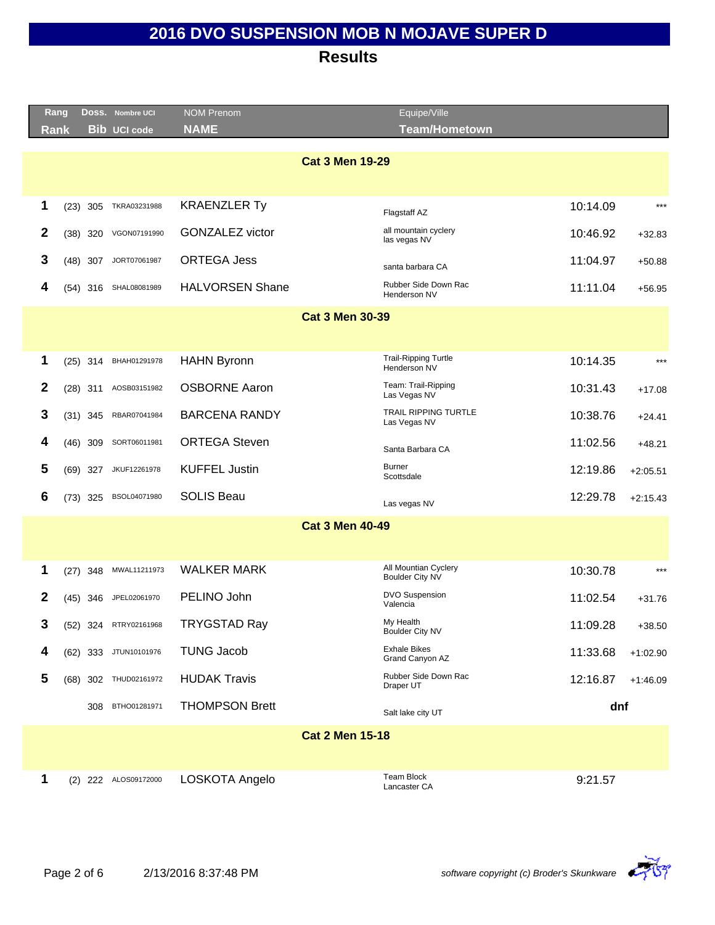|              | Rang       | Doss. Nombre UCI      | <b>NOM Prenom</b>      | Equipe/Ville                                |          |            |
|--------------|------------|-----------------------|------------------------|---------------------------------------------|----------|------------|
|              | Rank       | <b>Bib UCI code</b>   | <b>NAME</b>            | <b>Team/Hometown</b>                        |          |            |
|              |            |                       |                        | <b>Cat 3 Men 19-29</b>                      |          |            |
|              |            |                       |                        |                                             |          |            |
|              |            |                       |                        |                                             |          | $***$      |
| 1            | $(23)$ 305 | TKRA03231988          | <b>KRAENZLER Ty</b>    | Flagstaff AZ                                | 10:14.09 |            |
| $\mathbf{2}$ | $(38)$ 320 | VGON07191990          | <b>GONZALEZ victor</b> | all mountain cyclery<br>las vegas NV        | 10:46.92 | $+32.83$   |
| 3            | $(48)$ 307 | JORT07061987          | <b>ORTEGA Jess</b>     | santa barbara CA                            | 11:04.97 | $+50.88$   |
| 4            | $(54)$ 316 | SHAL08081989          | <b>HALVORSEN Shane</b> | Rubber Side Down Rac<br>Henderson NV        | 11:11.04 | $+56.95$   |
|              |            |                       |                        | <b>Cat 3 Men 30-39</b>                      |          |            |
|              |            |                       |                        |                                             |          |            |
| 1            | $(25)$ 314 | BHAH01291978          | <b>HAHN Byronn</b>     | <b>Trail-Ripping Turtle</b><br>Henderson NV | 10:14.35 | $***$      |
| 2            | $(28)$ 311 | AOSB03151982          | <b>OSBORNE Aaron</b>   | Team: Trail-Ripping<br>Las Vegas NV         | 10:31.43 | $+17.08$   |
| 3            | $(31)$ 345 | RBAR07041984          | <b>BARCENA RANDY</b>   | <b>TRAIL RIPPING TURTLE</b><br>Las Vegas NV | 10:38.76 | $+24.41$   |
| 4            | $(46)$ 309 | SORT06011981          | <b>ORTEGA Steven</b>   | Santa Barbara CA                            | 11:02.56 | $+48.21$   |
| 5            | $(69)$ 327 | JKUF12261978          | <b>KUFFEL Justin</b>   | <b>Burner</b><br>Scottsdale                 | 12:19.86 | $+2:05.51$ |
| 6            | $(73)$ 325 | BSOL04071980          | <b>SOLIS Beau</b>      | Las vegas NV                                | 12:29.78 | $+2:15.43$ |
|              |            |                       |                        | <b>Cat 3 Men 40-49</b>                      |          |            |
|              |            |                       |                        |                                             |          |            |
| 1            | $(27)$ 348 | MWAL11211973          | <b>WALKER MARK</b>     | All Mountian Cyclery<br>Boulder City NV     | 10:30.78 | $***$      |
| 2            | $(45)$ 346 | JPEL02061970          | PELINO John            | <b>DVO Suspension</b><br>Valencia           | 11:02.54 | $+31.76$   |
| 3            |            | (52) 324 RTRY02161968 | <b>TRYGSTAD Ray</b>    | My Health<br><b>Boulder City NV</b>         | 11:09.28 | $+38.50$   |
| 4            |            | (62) 333 JTUN10101976 | <b>TUNG Jacob</b>      | <b>Exhale Bikes</b><br>Grand Canyon AZ      | 11:33.68 | $+1:02.90$ |
| 5            |            | (68) 302 THUD02161972 | <b>HUDAK Travis</b>    | Rubber Side Down Rac<br>Draper UT           | 12:16.87 | $+1:46.09$ |
|              | 308        | BTHO01281971          | <b>THOMPSON Brett</b>  | Salt lake city UT                           | dnf      |            |
|              |            |                       |                        | <b>Cat 2 Men 15-18</b>                      |          |            |
|              |            |                       |                        |                                             |          |            |
| 1            |            | (2) 222 ALOS09172000  | LOSKOTA Angelo         | Team Block<br>Lancaster CA                  | 9:21.57  |            |

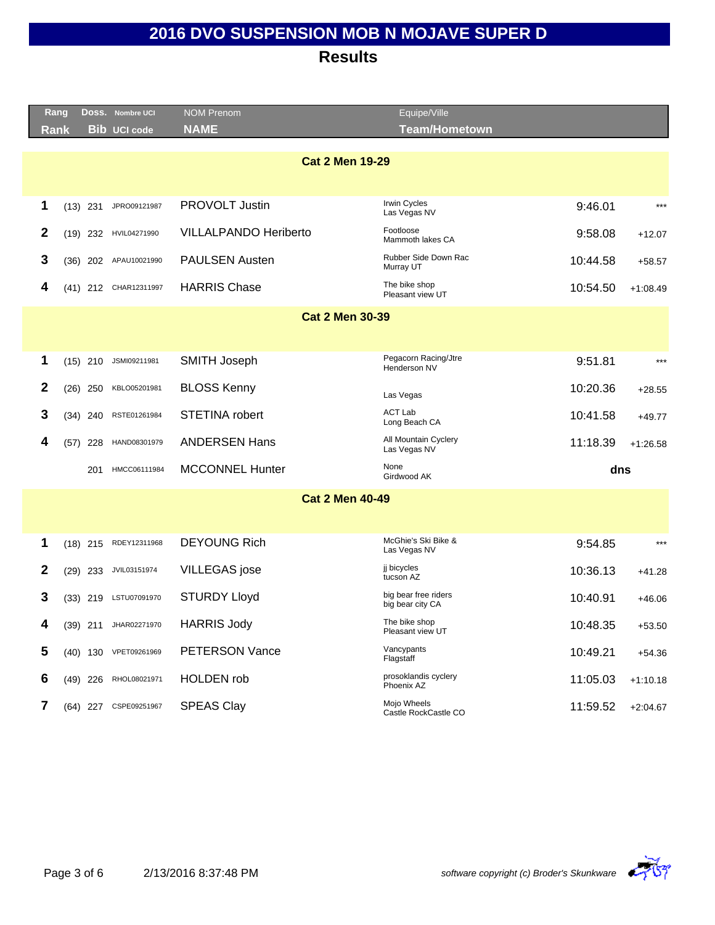| Rang<br>Rank           |            |            | DOSS. Nombre UCI<br><b>Bib UCI code</b> | <b>NOM Prenom</b><br><b>NAME</b> | Equipe/Ville<br><b>Team/Hometown</b>     |          |            |  |
|------------------------|------------|------------|-----------------------------------------|----------------------------------|------------------------------------------|----------|------------|--|
|                        |            |            |                                         |                                  |                                          |          |            |  |
| <b>Cat 2 Men 19-29</b> |            |            |                                         |                                  |                                          |          |            |  |
|                        |            |            |                                         |                                  |                                          |          |            |  |
| 1                      | $(13)$ 231 |            | JPRO09121987                            | PROVOLT Justin                   | Irwin Cycles<br>Las Vegas NV             | 9:46.01  | $***$      |  |
| $\mathbf{2}$           | $(19)$ 232 |            | HVIL04271990                            | <b>VILLALPANDO Heriberto</b>     | Footloose<br>Mammoth lakes CA            | 9:58.08  | $+12.07$   |  |
| 3                      |            |            | (36) 202 APAU10021990                   | <b>PAULSEN Austen</b>            | Rubber Side Down Rac<br>Murray UT        | 10:44.58 | $+58.57$   |  |
| 4                      |            |            | (41) 212 CHAR12311997                   | <b>HARRIS Chase</b>              | The bike shop<br>Pleasant view UT        | 10:54.50 | $+1:08.49$ |  |
|                        |            |            |                                         | <b>Cat 2 Men 30-39</b>           |                                          |          |            |  |
|                        |            |            |                                         |                                  |                                          |          |            |  |
| 1                      | $(15)$ 210 |            | JSMI09211981                            | <b>SMITH Joseph</b>              | Pegacorn Racing/Jtre<br>Henderson NV     | 9:51.81  | $***$      |  |
| $\boldsymbol{2}$       | $(26)$ 250 |            | KBLO05201981                            | <b>BLOSS Kenny</b>               | Las Vegas                                | 10:20.36 | $+28.55$   |  |
| 3                      |            | $(34)$ 240 | RSTE01261984                            | STETINA robert                   | ACT Lab<br>Long Beach CA                 | 10:41.58 | $+49.77$   |  |
| 4                      | (57)       | 228        | HAND08301979                            | <b>ANDERSEN Hans</b>             | All Mountain Cyclery<br>Las Vegas NV     | 11:18.39 | $+1:26.58$ |  |
|                        |            | 201        | HMCC06111984                            | <b>MCCONNEL Hunter</b>           | None<br>Girdwood AK                      | dns      |            |  |
|                        |            |            |                                         | <b>Cat 2 Men 40-49</b>           |                                          |          |            |  |
|                        |            |            |                                         |                                  |                                          |          |            |  |
| 1                      | $(18)$ 215 |            | RDEY12311968                            | <b>DEYOUNG Rich</b>              | McGhie's Ski Bike &<br>Las Vegas NV      | 9:54.85  | $***$      |  |
| 2                      | $(29)$ 233 |            | JVIL03151974                            | <b>VILLEGAS</b> jose             | ji bicycles<br>tucson AZ                 | 10:36.13 | $+41.28$   |  |
| 3                      | $(33)$ 219 |            | LSTU07091970                            | <b>STURDY Lloyd</b>              | big bear free riders<br>big bear city CA | 10:40.91 | $+46.06$   |  |
| 4                      |            | $(39)$ 211 | JHAR02271970                            | <b>HARRIS Jody</b>               | The bike shop<br>Pleasant view UT        | 10:48.35 | $+53.50$   |  |
| 5                      |            | $(40)$ 130 | VPET09261969                            | PETERSON Vance                   | Vancypants<br>Flagstaff                  | 10:49.21 | $+54.36$   |  |
| 6                      | $(49)$ 226 |            | RHOL08021971                            | <b>HOLDEN</b> rob                | prosoklandis cyclery<br>Phoenix AZ       | 11:05.03 | $+1:10.18$ |  |
| 7                      |            | (64) 227   | CSPE09251967                            | <b>SPEAS Clay</b>                | Mojo Wheels<br>Castle RockCastle CO      | 11:59.52 | $+2:04.67$ |  |

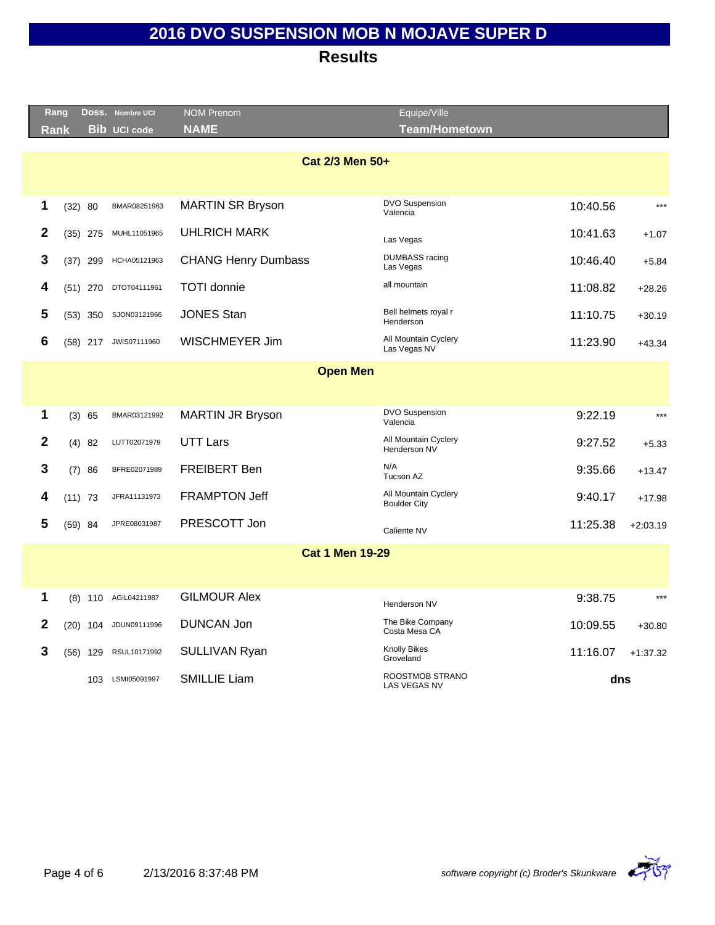| Rang            |            |            | DOSS. Nombre UCI    | <b>NOM Prenom</b>          | Equipe/Ville                                |          |            |  |
|-----------------|------------|------------|---------------------|----------------------------|---------------------------------------------|----------|------------|--|
| Rank            |            |            | <b>Bib UCI code</b> | <b>NAME</b>                | <b>Team/Hometown</b>                        |          |            |  |
| Cat 2/3 Men 50+ |            |            |                     |                            |                                             |          |            |  |
| 1               | (32) 80    |            | BMAR08251963        | <b>MARTIN SR Bryson</b>    | DVO Suspension<br>Valencia                  | 10:40.56 | $***$      |  |
| 2               | $(35)$ 275 |            | MUHL11051965        | UHLRICH MARK               | Las Vegas                                   | 10:41.63 | $+1.07$    |  |
| 3               | $(37)$ 299 |            | HCHA05121963        | <b>CHANG Henry Dumbass</b> | <b>DUMBASS</b> racing<br>Las Vegas          | 10:46.40 | $+5.84$    |  |
| 4               | $(51)$ 270 |            | DTOT04111961        | <b>TOTI</b> donnie         | all mountain                                | 11:08.82 | $+28.26$   |  |
| 5               | $(53)$ 350 |            | SJON03121966        | <b>JONES Stan</b>          | Bell helmets royal r<br>Henderson           | 11:10.75 | $+30.19$   |  |
| 6               | $(58)$ 217 |            | JWIS07111960        | WISCHMEYER Jim             | All Mountain Cyclery<br>Las Vegas NV        | 11:23.90 | $+43.34$   |  |
|                 |            |            |                     | <b>Open Men</b>            |                                             |          |            |  |
|                 |            |            |                     |                            |                                             |          |            |  |
| 1               | (3) 65     |            | BMAR03121992        | <b>MARTIN JR Bryson</b>    | DVO Suspension<br>Valencia                  | 9:22.19  | $***$      |  |
| $\mathbf{2}$    | $(4)$ 82   |            | LUTT02071979        | <b>UTT Lars</b>            | All Mountain Cyclery<br>Henderson NV        | 9:27.52  | $+5.33$    |  |
| 3               | (7) 86     |            | BFRE02071989        | <b>FREIBERT Ben</b>        | N/A<br>Tucson AZ                            | 9:35.66  | $+13.47$   |  |
| 4               | $(11)$ 73  |            | JFRA11131973        | <b>FRAMPTON Jeff</b>       | All Mountain Cyclery<br><b>Boulder City</b> | 9:40.17  | $+17.98$   |  |
| 5               | $(59)$ 84  |            | JPRE08031987        | PRESCOTT Jon               | Caliente NV                                 | 11:25.38 | $+2:03.19$ |  |
|                 |            |            |                     | <b>Cat 1 Men 19-29</b>     |                                             |          |            |  |
|                 |            |            |                     |                            |                                             |          |            |  |
| 1               |            | $(8)$ 110  | AGIL04211987        | <b>GILMOUR Alex</b>        | Henderson NV                                | 9:38.75  | $***$      |  |
| $\mathbf{2}$    |            | $(20)$ 104 | JDUN09111996        | <b>DUNCAN Jon</b>          | The Bike Company<br>Costa Mesa CA           | 10:09.55 | $+30.80$   |  |
| 3               | $(56)$ 129 |            | RSUL10171992        | <b>SULLIVAN Ryan</b>       | <b>Knolly Bikes</b><br>Groveland            | 11:16.07 | $+1:37.32$ |  |
|                 |            | 103        | LSMI05091997        | <b>SMILLIE Liam</b>        | ROOSTMOB STRANO<br><b>LAS VEGAS NV</b>      | dns      |            |  |
|                 |            |            |                     |                            |                                             |          |            |  |

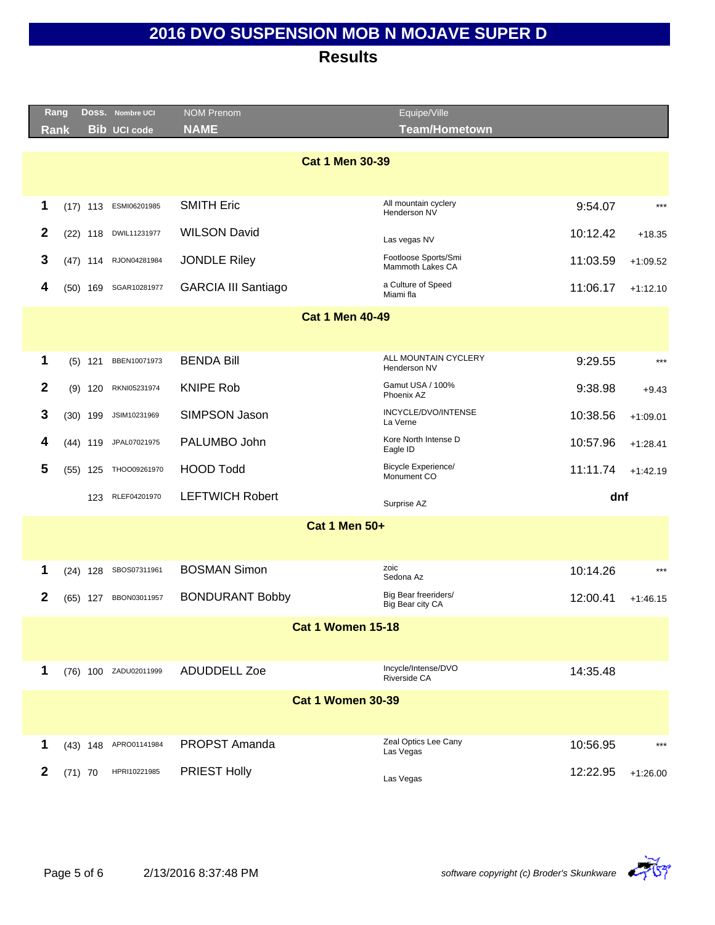|                        | Rang                     | DOSS. Nombre UCI      | <b>NOM Prenom</b>          | Equipe/Ville                              |          |            |  |  |
|------------------------|--------------------------|-----------------------|----------------------------|-------------------------------------------|----------|------------|--|--|
|                        | <b>Rank</b>              | <b>Bib UCI code</b>   | <b>NAME</b>                | <b>Team/Hometown</b>                      |          |            |  |  |
| <b>Cat 1 Men 30-39</b> |                          |                       |                            |                                           |          |            |  |  |
| 1                      | $(17)$ 113               | ESMI06201985          | <b>SMITH Eric</b>          | All mountain cyclery<br>Henderson NV      | 9:54.07  | $***$      |  |  |
| $\boldsymbol{2}$       | $(22)$ 118               | DWIL11231977          | <b>WILSON David</b>        | Las vegas NV                              | 10:12.42 | $+18.35$   |  |  |
| 3                      | $(47)$ 114               | RJON04281984          | <b>JONDLE Riley</b>        | Footloose Sports/Smi<br>Mammoth Lakes CA  | 11:03.59 | $+1:09.52$ |  |  |
| 4                      | $(50)$ 169               | SGAR10281977          | <b>GARCIA III Santiago</b> | a Culture of Speed<br>Miami fla           | 11:06.17 | $+1:12.10$ |  |  |
|                        |                          |                       | <b>Cat 1 Men 40-49</b>     |                                           |          |            |  |  |
|                        |                          |                       |                            |                                           |          |            |  |  |
| 1                      | $(5)$ 121                | BBEN10071973          | <b>BENDA Bill</b>          | ALL MOUNTAIN CYCLERY<br>Henderson NV      | 9:29.55  | $***$      |  |  |
| $\mathbf{2}$           | $(9)$ 120                | RKNI05231974          | <b>KNIPE Rob</b>           | Gamut USA / 100%<br>Phoenix AZ            | 9:38.98  | $+9.43$    |  |  |
| 3                      | $(30)$ 199               | JSIM10231969          | SIMPSON Jason              | INCYCLE/DVO/INTENSE<br>La Verne           | 10:38.56 | $+1:09.01$ |  |  |
| 4                      | (44) 119                 | JPAL07021975          | PALUMBO John               | Kore North Intense D<br>Eagle ID          | 10:57.96 | $+1:28.41$ |  |  |
| 5                      | $(55)$ 125               | THOO09261970          | <b>HOOD Todd</b>           | <b>Bicycle Experience/</b><br>Monument CO | 11:11.74 | $+1:42.19$ |  |  |
|                        | 123                      | RLEF04201970          | <b>LEFTWICH Robert</b>     | Surprise AZ                               | dnf      |            |  |  |
|                        |                          |                       | <b>Cat 1 Men 50+</b>       |                                           |          |            |  |  |
|                        |                          |                       |                            |                                           |          |            |  |  |
| 1                      | $(24)$ 128               | SBOS07311961          | <b>BOSMAN Simon</b>        | zoic<br>Sedona Az                         | 10:14.26 | $***$      |  |  |
| 2                      | $(65)$ 127               | BBON03011957          | <b>BONDURANT Bobby</b>     | Big Bear freeriders/<br>Big Bear city CA  | 12:00.41 | $+1.46.15$ |  |  |
|                        | <b>Cat 1 Women 15-18</b> |                       |                            |                                           |          |            |  |  |
|                        |                          |                       |                            |                                           |          |            |  |  |
| 1                      |                          | (76) 100 ZADU02011999 | ADUDDELL Zoe               | Incycle/Intense/DVO<br>Riverside CA       | 14:35.48 |            |  |  |
|                        |                          |                       | <b>Cat 1 Women 30-39</b>   |                                           |          |            |  |  |
|                        |                          |                       |                            |                                           |          |            |  |  |
| 1                      | $(43)$ 148               | APRO01141984          | PROPST Amanda              | Zeal Optics Lee Cany<br>Las Vegas         | 10:56.95 | $***$      |  |  |
| $\mathbf{2}$           | $(71)$ 70                | HPRI10221985          | <b>PRIEST Holly</b>        | Las Vegas                                 | 12:22.95 | $+1:26.00$ |  |  |